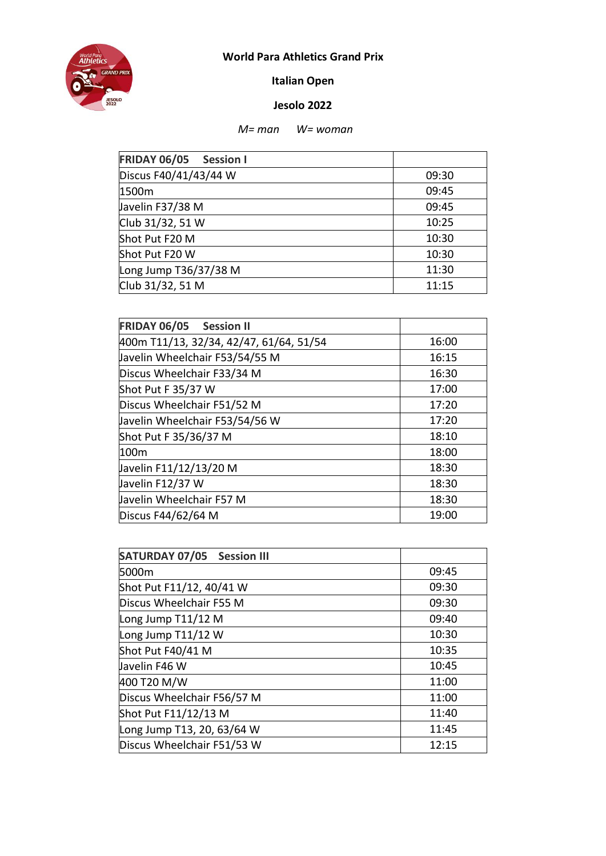

## **World Para Athletics Grand Prix**

**Italian Open** 

## **Jesolo 2022**

## *M= man W= woman*

| <b>FRIDAY 06/05</b><br><b>Session I</b> |       |
|-----------------------------------------|-------|
| Discus F40/41/43/44 W                   | 09:30 |
| 1500m                                   | 09:45 |
| Javelin F37/38 M                        | 09:45 |
| Club 31/32, 51 W                        | 10:25 |
| Shot Put F20 M                          | 10:30 |
| Shot Put F20 W                          | 10:30 |
| Long Jump T36/37/38 M                   | 11:30 |
| Club 31/32, 51 M                        | 11:15 |

| FRIDAY 06/05 Session II                 |       |
|-----------------------------------------|-------|
| 400m T11/13, 32/34, 42/47, 61/64, 51/54 | 16:00 |
| Javelin Wheelchair F53/54/55 M          | 16:15 |
| Discus Wheelchair F33/34 M              | 16:30 |
| Shot Put F 35/37 W                      | 17:00 |
| Discus Wheelchair F51/52 M              | 17:20 |
| Javelin Wheelchair F53/54/56 W          | 17:20 |
| Shot Put F 35/36/37 M                   | 18:10 |
| 100m                                    | 18:00 |
| Javelin F11/12/13/20 M                  | 18:30 |
| Javelin F12/37 W                        | 18:30 |
| Javelin Wheelchair F57 M                | 18:30 |
| Discus F44/62/64 M                      | 19:00 |

| <b>SATURDAY 07/05 Session III</b> |       |
|-----------------------------------|-------|
| 5000m                             | 09:45 |
| Shot Put F11/12, 40/41 W          | 09:30 |
| Discus Wheelchair F55 M           | 09:30 |
| Long Jump T11/12 M                | 09:40 |
| Long Jump T11/12 W                | 10:30 |
| Shot Put F40/41 M                 | 10:35 |
| Javelin F46 W                     | 10:45 |
| 400 T20 M/W                       | 11:00 |
| Discus Wheelchair F56/57 M        | 11:00 |
| Shot Put F11/12/13 M              | 11:40 |
| Long Jump T13, 20, 63/64 W        | 11:45 |
| Discus Wheelchair F51/53 W        | 12:15 |